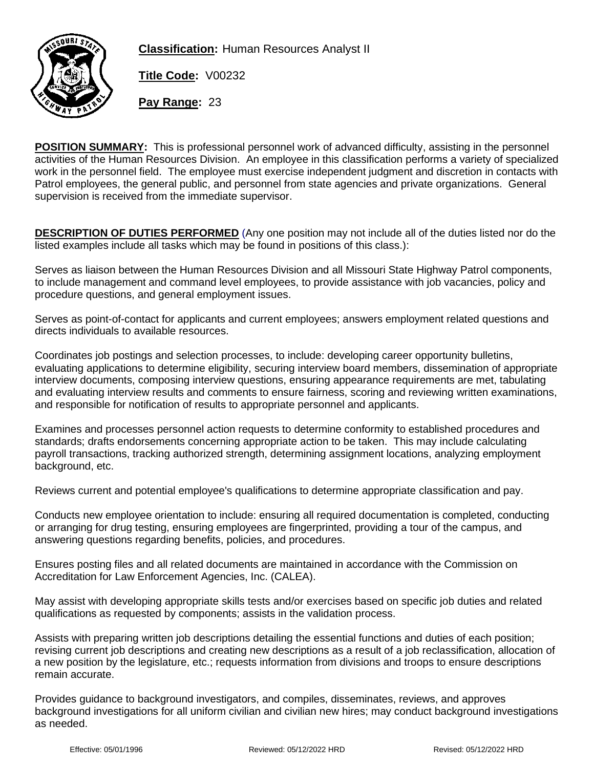

**Classification:** Human Resources Analyst II

**Title Code:** V00232

**Pay Range:** 23

**POSITION SUMMARY:** This is professional personnel work of advanced difficulty, assisting in the personnel activities of the Human Resources Division. An employee in this classification performs a variety of specialized work in the personnel field. The employee must exercise independent judgment and discretion in contacts with Patrol employees, the general public, and personnel from state agencies and private organizations. General supervision is received from the immediate supervisor.

**DESCRIPTION OF DUTIES PERFORMED** (Any one position may not include all of the duties listed nor do the listed examples include all tasks which may be found in positions of this class.):

Serves as liaison between the Human Resources Division and all Missouri State Highway Patrol components, to include management and command level employees, to provide assistance with job vacancies, policy and procedure questions, and general employment issues.

Serves as point-of-contact for applicants and current employees; answers employment related questions and directs individuals to available resources.

Coordinates job postings and selection processes, to include: developing career opportunity bulletins, evaluating applications to determine eligibility, securing interview board members, dissemination of appropriate interview documents, composing interview questions, ensuring appearance requirements are met, tabulating and evaluating interview results and comments to ensure fairness, scoring and reviewing written examinations, and responsible for notification of results to appropriate personnel and applicants.

Examines and processes personnel action requests to determine conformity to established procedures and standards; drafts endorsements concerning appropriate action to be taken. This may include calculating payroll transactions, tracking authorized strength, determining assignment locations, analyzing employment background, etc.

Reviews current and potential employee's qualifications to determine appropriate classification and pay.

Conducts new employee orientation to include: ensuring all required documentation is completed, conducting or arranging for drug testing, ensuring employees are fingerprinted, providing a tour of the campus, and answering questions regarding benefits, policies, and procedures.

Ensures posting files and all related documents are maintained in accordance with the Commission on Accreditation for Law Enforcement Agencies, Inc. (CALEA).

May assist with developing appropriate skills tests and/or exercises based on specific job duties and related qualifications as requested by components; assists in the validation process.

Assists with preparing written job descriptions detailing the essential functions and duties of each position; revising current job descriptions and creating new descriptions as a result of a job reclassification, allocation of a new position by the legislature, etc.; requests information from divisions and troops to ensure descriptions remain accurate.

Provides guidance to background investigators, and compiles, disseminates, reviews, and approves background investigations for all uniform civilian and civilian new hires; may conduct background investigations as needed.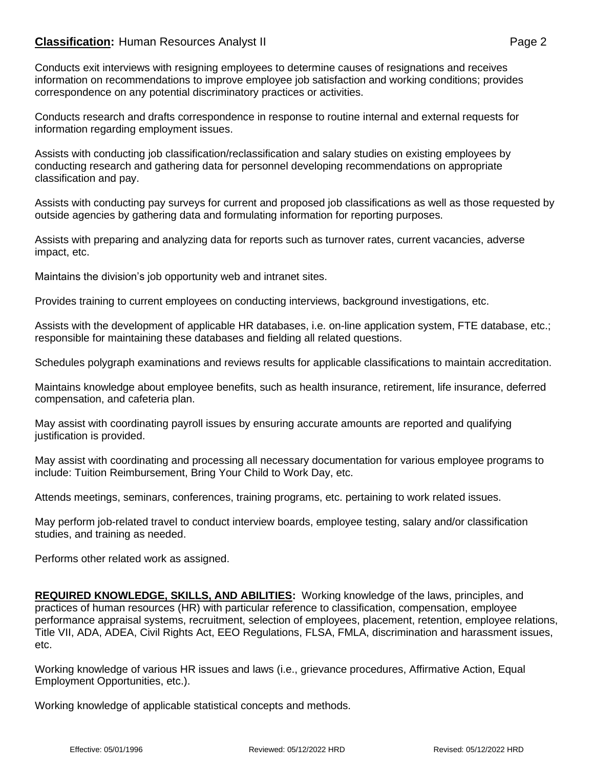## **Classification:** Human Resources Analyst II **Classification:** Page 2

Conducts exit interviews with resigning employees to determine causes of resignations and receives information on recommendations to improve employee job satisfaction and working conditions; provides correspondence on any potential discriminatory practices or activities.

Conducts research and drafts correspondence in response to routine internal and external requests for information regarding employment issues.

Assists with conducting job classification/reclassification and salary studies on existing employees by conducting research and gathering data for personnel developing recommendations on appropriate classification and pay.

Assists with conducting pay surveys for current and proposed job classifications as well as those requested by outside agencies by gathering data and formulating information for reporting purposes.

Assists with preparing and analyzing data for reports such as turnover rates, current vacancies, adverse impact, etc.

Maintains the division's job opportunity web and intranet sites.

Provides training to current employees on conducting interviews, background investigations, etc.

Assists with the development of applicable HR databases, i.e. on-line application system, FTE database, etc.; responsible for maintaining these databases and fielding all related questions.

Schedules polygraph examinations and reviews results for applicable classifications to maintain accreditation.

Maintains knowledge about employee benefits, such as health insurance, retirement, life insurance, deferred compensation, and cafeteria plan.

May assist with coordinating payroll issues by ensuring accurate amounts are reported and qualifying justification is provided.

May assist with coordinating and processing all necessary documentation for various employee programs to include: Tuition Reimbursement, Bring Your Child to Work Day, etc.

Attends meetings, seminars, conferences, training programs, etc. pertaining to work related issues.

May perform job-related travel to conduct interview boards, employee testing, salary and/or classification studies, and training as needed.

Performs other related work as assigned.

**REQUIRED KNOWLEDGE, SKILLS, AND ABILITIES:** Working knowledge of the laws, principles, and practices of human resources (HR) with particular reference to classification, compensation, employee performance appraisal systems, recruitment, selection of employees, placement, retention, employee relations, Title VII, ADA, ADEA, Civil Rights Act, EEO Regulations, FLSA, FMLA, discrimination and harassment issues, etc.

Working knowledge of various HR issues and laws (i.e., grievance procedures, Affirmative Action, Equal Employment Opportunities, etc.).

Working knowledge of applicable statistical concepts and methods.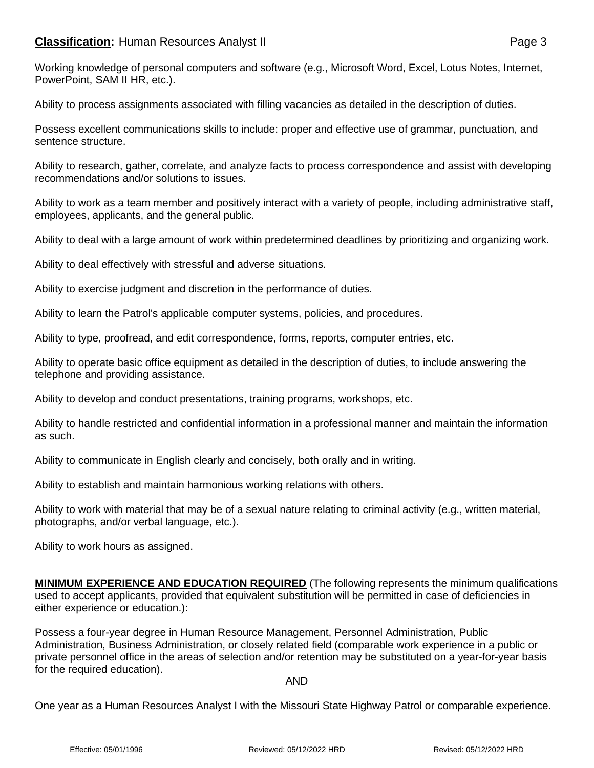## **Classification:** Human Resources Analyst II **Classification:** Page 3

Ability to process assignments associated with filling vacancies as detailed in the description of duties.

Possess excellent communications skills to include: proper and effective use of grammar, punctuation, and sentence structure.

Ability to research, gather, correlate, and analyze facts to process correspondence and assist with developing recommendations and/or solutions to issues.

Ability to work as a team member and positively interact with a variety of people, including administrative staff, employees, applicants, and the general public.

Ability to deal with a large amount of work within predetermined deadlines by prioritizing and organizing work.

Ability to deal effectively with stressful and adverse situations.

Ability to exercise judgment and discretion in the performance of duties.

Ability to learn the Patrol's applicable computer systems, policies, and procedures.

Ability to type, proofread, and edit correspondence, forms, reports, computer entries, etc.

Ability to operate basic office equipment as detailed in the description of duties, to include answering the telephone and providing assistance.

Ability to develop and conduct presentations, training programs, workshops, etc.

Ability to handle restricted and confidential information in a professional manner and maintain the information as such.

Ability to communicate in English clearly and concisely, both orally and in writing.

Ability to establish and maintain harmonious working relations with others.

Ability to work with material that may be of a sexual nature relating to criminal activity (e.g., written material, photographs, and/or verbal language, etc.).

Ability to work hours as assigned.

**MINIMUM EXPERIENCE AND EDUCATION REQUIRED** (The following represents the minimum qualifications used to accept applicants, provided that equivalent substitution will be permitted in case of deficiencies in either experience or education.):

Possess a four-year degree in Human Resource Management, Personnel Administration, Public Administration, Business Administration, or closely related field (comparable work experience in a public or private personnel office in the areas of selection and/or retention may be substituted on a year-for-year basis for the required education).

## AND

One year as a Human Resources Analyst I with the Missouri State Highway Patrol or comparable experience.